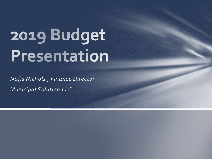# 2019 Budget Presentation

*Nafis Nichols , Finance Director Municipal Solution LLC.*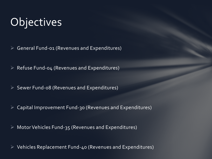# **Objectives**

 $\triangleright$  General Fund-o1 (Revenues and Expenditures)

 $\triangleright$  Refuse Fund-04 (Revenues and Expenditures)

 $\triangleright$  Sewer Fund-08 (Revenues and Expenditures)

Capital Improvement Fund-30 (Revenues and Expenditures)

 $\triangleright$  Motor Vehicles Fund-35 (Revenues and Expenditures)

 $\triangleright$  Vehicles Replacement Fund-40 (Revenues and Expenditures)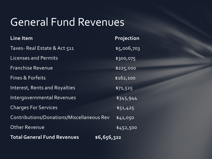# General Fund Revenues

| <b>Line Item</b>                                  | <b>Projection</b> |
|---------------------------------------------------|-------------------|
| Taxes-Real Estate & Act 511                       | \$5,006,703       |
| <b>Licenses and Permits</b>                       | \$300,075         |
| <b>Franchise Revenue</b>                          | \$225,000         |
| <b>Fines &amp; Forfeits</b>                       | \$162,100         |
| Interest, Rents and Royalties                     | \$71,525          |
| Intergovernmental Revenues                        | \$345,944         |
| <b>Charges For Services</b>                       | \$51,425          |
| Contributions/Donations/Miscellaneous Rev         | \$41,050          |
| <b>Other Revenue</b>                              | \$452,500         |
| <b>Total General Fund Revenues</b><br>\$6,656,322 |                   |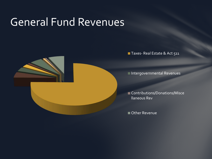# General Fund Revenues



Taxes- Real Estate & Act 511

Intergovernmental Revenues

**Contributions/Donations/Misce** llaneous Rev

Other Revenue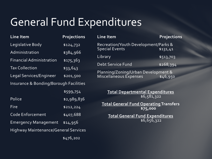# General Fund Expenditures

**Projections** 

| Line Item                                   | <b>Projections</b> | Line Item                                                     | Projection |
|---------------------------------------------|--------------------|---------------------------------------------------------------|------------|
| Legislative Body                            | \$124,732          | Recreation/Youth Development/Parks &<br><b>Special Events</b> |            |
| Administration                              | \$384,966          |                                                               | \$131,41   |
| <b>Financial Administration</b>             | \$175,363          | Library                                                       | \$513,703  |
| <b>Tax Collection</b>                       |                    | Debt Service Fund                                             | \$268,394  |
|                                             | \$33,643           | Planning/Zoning/Urban Development &                           |            |
| Legal Services/Engineer                     | \$201,500          | Miscellaneous Expenses                                        | \$46,950   |
| Insurance & Bonding/Borough Facilities      |                    |                                                               |            |
|                                             | \$599,754          | <b>Total Departmental Expenditures</b>                        |            |
| Police                                      | \$2,989,836        | \$6,581,322                                                   |            |
| Fire                                        | \$212,224          | <b>Total General Fund Operating Transfers</b>                 |            |
|                                             |                    | \$75,000                                                      |            |
| <b>Code Enforcement</b>                     | \$407,688          | <b>Total General Fund Expenditures</b>                        |            |
| <b>Emergency Management</b>                 | \$14,956           | \$6,656,322                                                   |            |
| <b>Highway Maintenance/General Services</b> |                    |                                                               |            |
|                                             |                    |                                                               |            |

\$476,202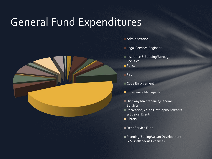# General Fund Expenditures



**Administration** 

- **Legal Services/Engineer**
- Insurance & Bonding/Borough Facilities
- **Police**
- **Fire**
- Code Enforcement
- **Emergency Management**
- **Highway Maintenance/General Services**
- Recreation/Youth Development/Parks & Speical Events
- **Library**
- Debt Service Fund
- Planning/Zoning/Urban Development & Miscellaneous Expenses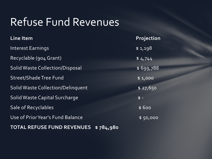# Refuse Fund Revenues

| <b>Line Item</b>                       | Projection |
|----------------------------------------|------------|
| <b>Interest Earnings</b>               | \$1,198    |
| Recyclable (904 Grant)                 | \$4,744    |
| <b>Solid Waste Collection/Disposal</b> | \$699,788  |
| <b>Street/Shade Tree Fund</b>          | \$1,000    |
| Solid Waste Collection/Delinquent      | \$27,650   |
| Solid Waste Capital Surcharge          | $$ -$      |
| Sale of Recyclables                    | \$600      |
| Use of Prior Year's Fund Balance       | \$50,000   |
| TOTAL REFUSE FUND REVENUES \$784,980   |            |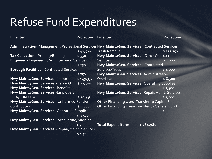# Refuse Fund Expenditures

#### **Line Item Projection** Line Item

**Projection** 

| Administration- Management Professional Services Hwy Maint./Gen. Services - Contracted Services |           |                                                       |                  |  |
|-------------------------------------------------------------------------------------------------|-----------|-------------------------------------------------------|------------------|--|
|                                                                                                 | \$42,500  | <b>Trash Removal</b>                                  | \$512,750        |  |
| Tax Collection - Printing/Binding                                                               | \$550     | Hwy Maint./Gen. Services - Other Contracted           |                  |  |
| Engineer - Engineering/Architechural Services                                                   |           | <b>Services</b>                                       | \$1,000          |  |
|                                                                                                 | \$750     | Hwy Maint./Gen. Services - Contracted                 |                  |  |
| <b>Borough Facilities - Contracted Services</b>                                                 |           | Services/Trees                                        | $\sqrt{2}$ 4,000 |  |
|                                                                                                 | \$750     | Hwy Maint./Gen. Services- Administrative              |                  |  |
| Hwy Maint./Gen. Services - Labor                                                                | \$149,332 | Overhead                                              | \$8,500          |  |
| Hwy Maint./Gen. Services - Labor OT                                                             | \$32,500  | Hwy Maint./Gen. Services - Operating Supplies         |                  |  |
| Hwy Maint./Gen. Services -Benefits                                                              | $$ -$     |                                                       | \$1,500          |  |
| Hwy Maint./Gen. Services - Employers                                                            |           | Hwy Maint./Gen. Services - Repair/Maint. Services     |                  |  |
| <b>FICA/SUI/FUTA</b>                                                                            | \$10,348  |                                                       | \$1,500          |  |
| Hwy Maint./Gen. Services - Uniformed Pension                                                    |           | <b>Other Financing Uses- Transfer to Capital Fund</b> |                  |  |
| Contribution                                                                                    | \$5,000   | Other Financing Uses- Transfer to General Fund        |                  |  |
| Hwy Maint./Gen. Services -Operating Supplies                                                    |           |                                                       | $\mathsf{\$}$ -  |  |
|                                                                                                 | \$3,500   |                                                       |                  |  |
| Hwy Maint./Gen. Services - Accounting/Auditing                                                  |           |                                                       |                  |  |
|                                                                                                 | \$9,000   | <b>Total Expenditures</b>                             | \$784,980        |  |
| Hwy Maint./Gen. Services - Repair/Maint. Services                                               |           |                                                       |                  |  |
|                                                                                                 | \$1,500   |                                                       |                  |  |
|                                                                                                 |           |                                                       |                  |  |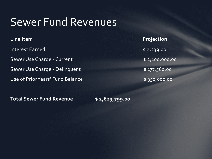# Sewer Fund Revenues

| Line Item                        | Projection            |
|----------------------------------|-----------------------|
| Interest Earned                  | \$2,239.00            |
| Sewer Use Charge - Current       | $\sqrt{2,100,000.00}$ |
| Sewer Use Charge - Delinquent    | \$177,560.00          |
| Use of Prior Years' Fund Balance | \$350,000.00          |

**Total Sewer Fund Revenue \$ 2,629,799.00**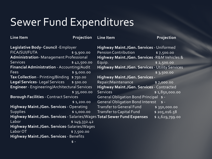# Sewer Fund Expenditures

Line Item **Projection** 

**Line Item Projection** 

| Legislative Body- Council - Employer                                                      |              | Highway Maint./Gen. Services - Uniformed               |                       |
|-------------------------------------------------------------------------------------------|--------------|--------------------------------------------------------|-----------------------|
| FICA/SUI/FUTA                                                                             | \$9,900.00   | <b>Pension Contribution</b>                            | \$7,500.00            |
| <b>Administration-Management Professional</b>                                             |              | Highway Maint./Gen. Services - R&M Vehicles &          |                       |
| <b>Services</b>                                                                           | \$42,500.00  | Equip.                                                 | \$2,500.00            |
| Financial Administration - Accounting/Audit                                               |              | <b>Highway Maint./Gen. Services - Utility Services</b> |                       |
| <b>Fees</b>                                                                               | \$9,000.00   |                                                        | $\frac{1}{2}$ ,500.00 |
| Tax Collection - Printing/Binding \$750.00                                                |              | <b>Highway Maint./Gen. Services -</b>                  |                       |
| Legal Services-Legal Services \$500.00                                                    |              | Repair/Maintenance                                     | \$7,000.00            |
| <b>Engineer</b> - Engineering/Architectural Services                                      |              | Highway Maint./Gen. Services - Contracted              |                       |
|                                                                                           | \$35,000.00  | <b>Services</b>                                        | \$1,850,000.00        |
| <b>Borough Facilities - Contract Services</b>                                             |              | General Obligation Bond Principal \$ -                 |                       |
|                                                                                           | \$1,200.00   | <b>General Obligation Bond Interest</b>                | $$ -$                 |
| <b>Highway Maint./Gen. Services - Operating</b>                                           |              | Transfer to General Fund \$350,000.00                  |                       |
| <b>Supplies</b>                                                                           |              | \$1,000.00 Transfer to Capital Fund                    | \$205,016.58          |
| Highway Maint./Gen. Services - Salaries/Wages Total Sewer Fund Expenses<br>\$2,629,799.00 |              |                                                        |                       |
| Labor                                                                                     | \$149,332.42 |                                                        |                       |
| Highway Maint./Gen. Services-Salaries/Wages                                               |              |                                                        |                       |
| Labor OT                                                                                  | \$7,500.00   |                                                        |                       |
| Highway Maint./Gen. Services - Benefits                                                   |              |                                                        |                       |
|                                                                                           | $$ -$        |                                                        |                       |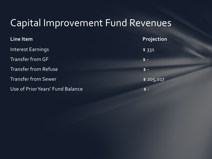### Capital Improvement Fund Revenues

| Line Item                        | Projection |
|----------------------------------|------------|
| Interest Earnings                | \$331      |
| Transfer from GF                 | $$ -$      |
| <b>Transfer from Refuse</b>      | $$ -$      |
| <b>Transfer from Sewer</b>       | \$205,017  |
| Use of Prior Years' Fund Balance | $$ -$      |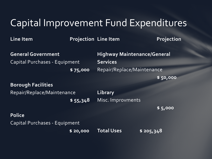### Capital Improvement Fund Expenditures

**Line Item Projection Line Item** 

**Projection** 

**General Government** Capital Purchases - Equipment  **\$ 75,000**  **Highway Maintenance/General Services** Repair/Replace/Maintenance

 **\$ 50,000** 

 **\$ 5,000** 

#### **Borough Facilities**

Repair/Replace/Maintenance

 **\$ 55,348** 

**Library**  Misc. Improvments

#### **Police**

Capital Purchases - Equipment

 **\$ 20,000 Total Uses \$ 205,348**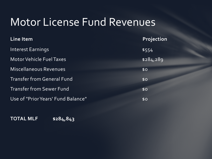# Motor License Fund Revenues

| Line Item                          | Projection |
|------------------------------------|------------|
| Interest Earnings                  | \$554      |
| Motor Vehicle Fuel Taxes           | \$284,289  |
| <b>Miscellaneous Revenues</b>      | \$0        |
| <b>Transfer from General Fund</b>  | \$0        |
| <b>Transfer from Sewer Fund</b>    | \$0        |
| Use of "Prior Years' Fund Balance" | \$0        |

### **TOTAL MLF \$284,843**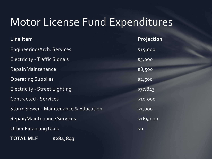# Motor License Fund Expenditures

| <b>Line Item</b>                                 | Projection |
|--------------------------------------------------|------------|
| Engineering/Arch. Services                       | \$15,000   |
| <b>Electricity - Traffic Signals</b>             | \$5,000    |
| Repair/Maintenance                               | \$8,500    |
| <b>Operating Supplies</b>                        | \$2,500    |
| <b>Electricity - Street Lighting</b>             | \$77,843   |
| <b>Contracted - Services</b>                     | \$10,000   |
| <b>Storm Sewer - Maintenance &amp; Education</b> | \$1,000    |
| <b>Repair/Maintenance Services</b>               | \$165,000  |
| <b>Other Financing Uses</b>                      | \$0        |
| <b>TOTAL MLF</b><br>\$284,843                    |            |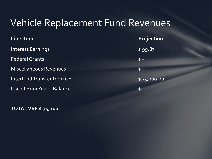### Vehicle Replacement Fund Revenues

**Line Item Projection** Interest Earnings and the state of the state of the state of the state of the state of the state of the state o Federal Grants \$ - Miscellaneous Revenues **\$ -** \$ -Interfund Transfer from GF \$75,000.00 Use of Prior Years' Balance **\$ -** \$ -

**TOTAL VRF \$ 75,100**